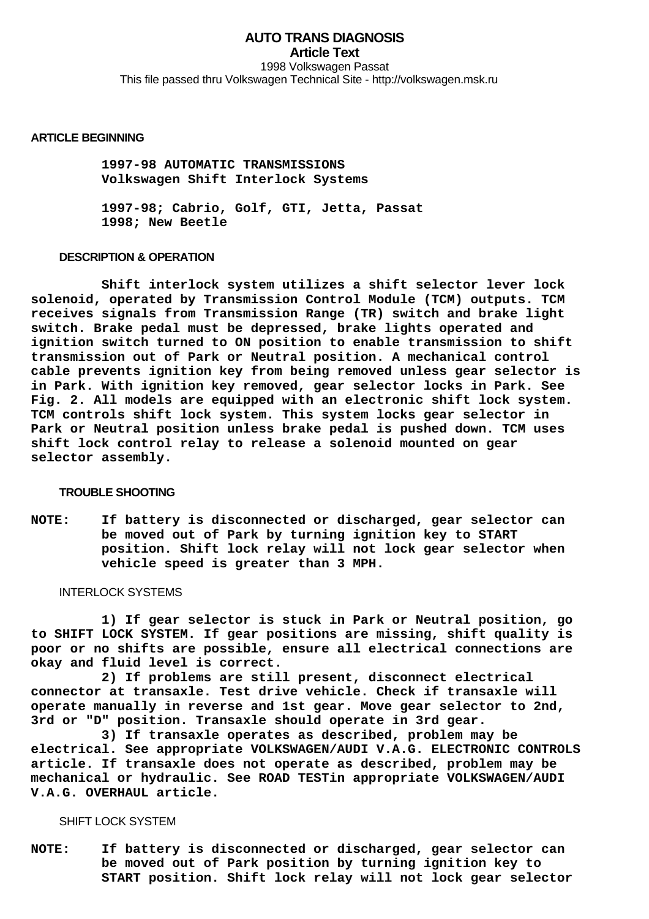**AUTO TRANS DIAGNOSIS Article Text** 1998 Volkswagen Passat This file passed thru Volkswagen Technical Site - http://volkswagen.msk.ru

#### **ARTICLE BEGINNING**

 **1997-98 AUTOMATIC TRANSMISSIONS Volkswagen Shift Interlock Systems**

 **1997-98; Cabrio, Golf, GTI, Jetta, Passat 1998; New Beetle**

### **DESCRIPTION & OPERATION**

 **Shift interlock system utilizes a shift selector lever lock solenoid, operated by Transmission Control Module (TCM) outputs. TCM receives signals from Transmission Range (TR) switch and brake light switch. Brake pedal must be depressed, brake lights operated and ignition switch turned to ON position to enable transmission to shift transmission out of Park or Neutral position. A mechanical control cable prevents ignition key from being removed unless gear selector is in Park. With ignition key removed, gear selector locks in Park. See Fig. 2. All models are equipped with an electronic shift lock system. TCM controls shift lock system. This system locks gear selector in Park or Neutral position unless brake pedal is pushed down. TCM uses shift lock control relay to release a solenoid mounted on gear selector assembly.**

#### **TROUBLE SHOOTING**

**NOTE: If battery is disconnected or discharged, gear selector can be moved out of Park by turning ignition key to START position. Shift lock relay will not lock gear selector when vehicle speed is greater than 3 MPH.**

#### INTERLOCK SYSTEMS

 **1) If gear selector is stuck in Park or Neutral position, go to SHIFT LOCK SYSTEM. If gear positions are missing, shift quality is poor or no shifts are possible, ensure all electrical connections are okay and fluid level is correct.**

 **2) If problems are still present, disconnect electrical connector at transaxle. Test drive vehicle. Check if transaxle will operate manually in reverse and 1st gear. Move gear selector to 2nd, 3rd or "D" position. Transaxle should operate in 3rd gear.**

 **3) If transaxle operates as described, problem may be electrical. See appropriate VOLKSWAGEN/AUDI V.A.G. ELECTRONIC CONTROLS article. If transaxle does not operate as described, problem may be mechanical or hydraulic. See ROAD TESTin appropriate VOLKSWAGEN/AUDI V.A.G. OVERHAUL article.**

## SHIFT LOCK SYSTEM

**NOTE: If battery is disconnected or discharged, gear selector can be moved out of Park position by turning ignition key to START position. Shift lock relay will not lock gear selector**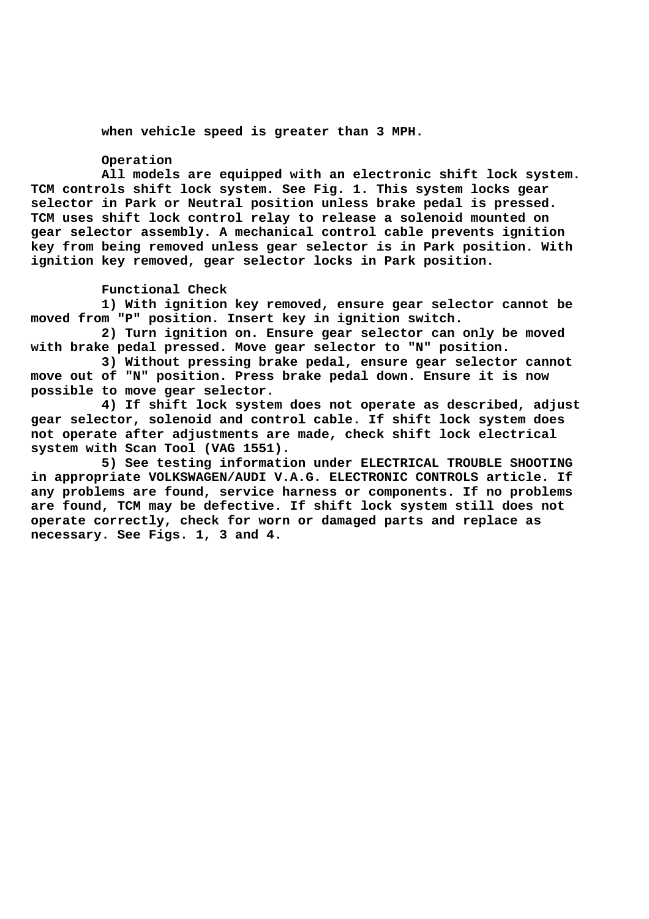**when vehicle speed is greater than 3 MPH.**

# **Operation**

 **All models are equipped with an electronic shift lock system. TCM controls shift lock system. See Fig. 1. This system locks gear selector in Park or Neutral position unless brake pedal is pressed. TCM uses shift lock control relay to release a solenoid mounted on gear selector assembly. A mechanical control cable prevents ignition key from being removed unless gear selector is in Park position. With ignition key removed, gear selector locks in Park position.**

#### **Functional Check**

 **1) With ignition key removed, ensure gear selector cannot be moved from "P" position. Insert key in ignition switch.**

 **2) Turn ignition on. Ensure gear selector can only be moved with brake pedal pressed. Move gear selector to "N" position.**

 **3) Without pressing brake pedal, ensure gear selector cannot move out of "N" position. Press brake pedal down. Ensure it is now possible to move gear selector.**

 **4) If shift lock system does not operate as described, adjust gear selector, solenoid and control cable. If shift lock system does not operate after adjustments are made, check shift lock electrical system with Scan Tool (VAG 1551).**

 **5) See testing information under ELECTRICAL TROUBLE SHOOTING in appropriate VOLKSWAGEN/AUDI V.A.G. ELECTRONIC CONTROLS article. If any problems are found, service harness or components. If no problems are found, TCM may be defective. If shift lock system still does not operate correctly, check for worn or damaged parts and replace as necessary. See Figs. 1, 3 and 4.**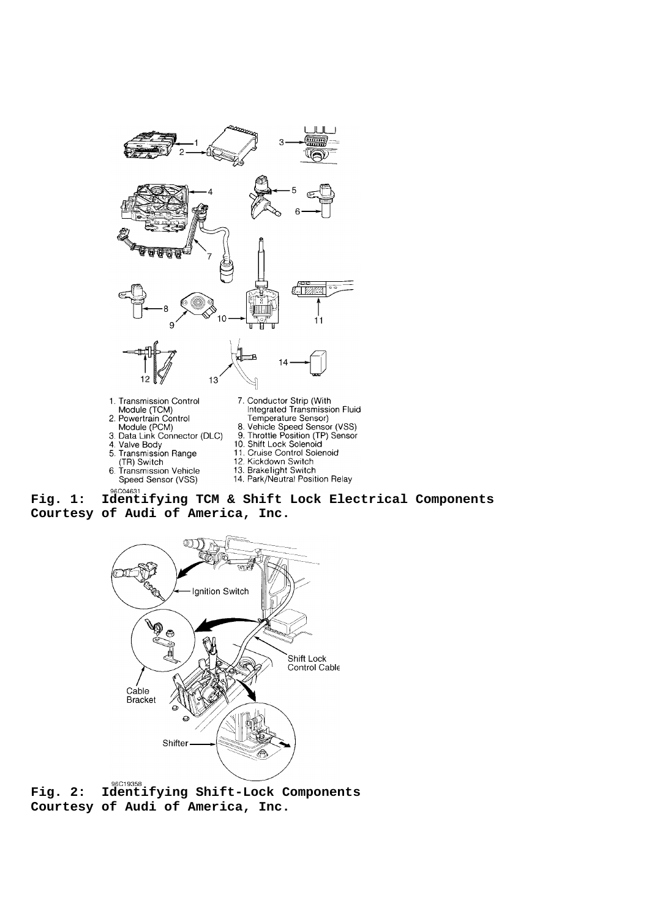

- 
- 4. Valve Body
- 

6.

- 5. Transmission Range The Switch<br>The Switch<br>Transmission Vehicle<br>Speed Sensor (VSS)
- 
- 10. Shift Lock Solenoid 11. Cruise Control Solenoid<br>12. Kickdown Switch
- 
- 13. Brakelight Switch<br>14. Park/Neutral Position Relay

# **Fig. 1: Identifying TCM & Shift Lock Electrical Components Courtesy of Audi of America, Inc.**



**Fig. 2: Identifying Shift-Lock Components Courtesy of Audi of America, Inc.**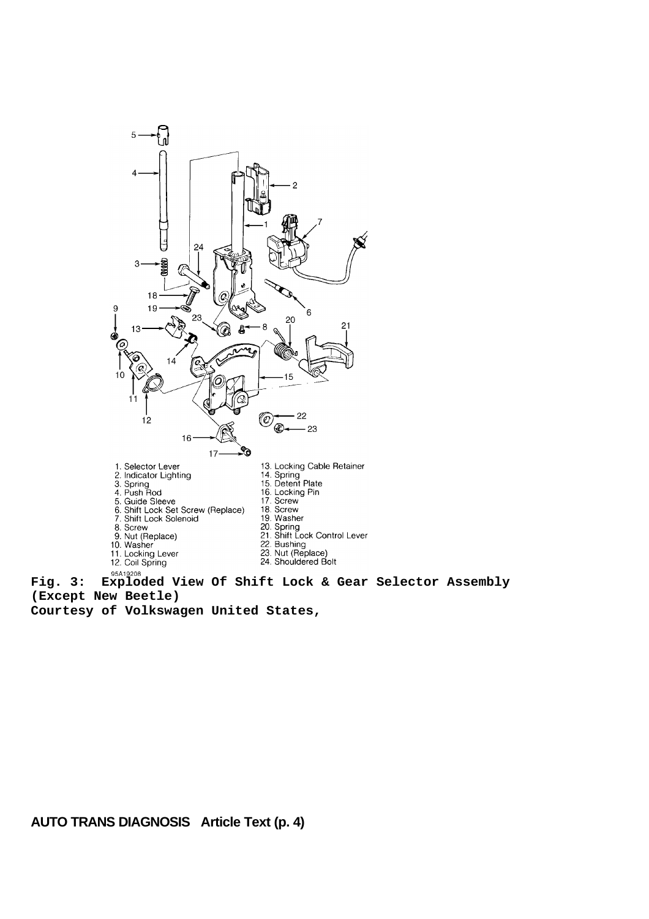

**(Except New Beetle)**

**Courtesy of Volkswagen United States,**

**AUTO TRANS DIAGNOSIS Article Text (p. 4)**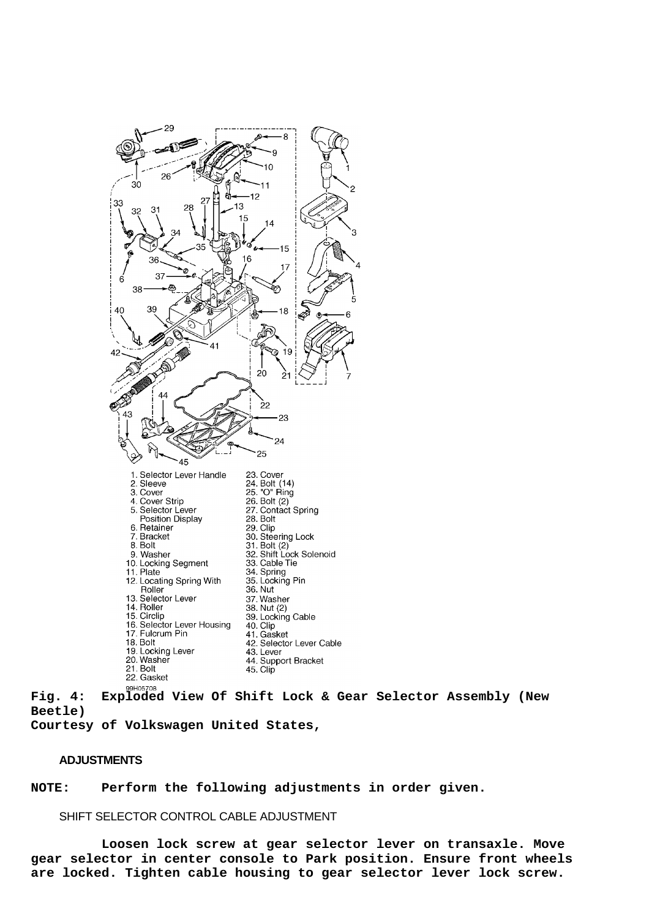

**Fig. 4: Exploded View Of Shift Lock & Gear Selector Assembly (New Beetle)**

**Courtesy of Volkswagen United States,**

# **ADJUSTMENTS**

**NOTE: Perform the following adjustments in order given.**

SHIFT SELECTOR CONTROL CABLE ADJUSTMENT

 **Loosen lock screw at gear selector lever on transaxle. Move gear selector in center console to Park position. Ensure front wheels are locked. Tighten cable housing to gear selector lever lock screw.**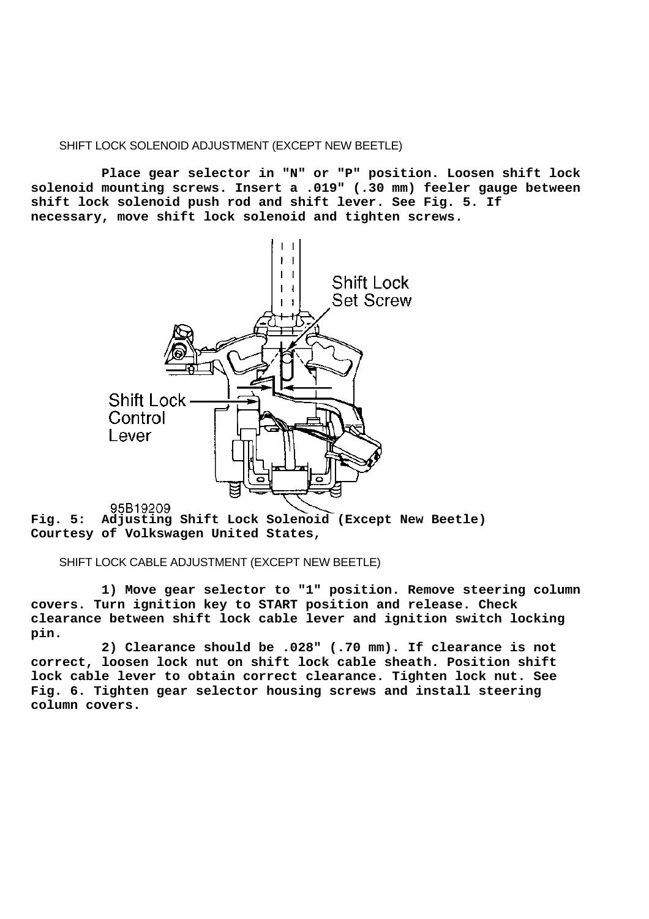# SHIFT LOCK SOLENOID ADJUSTMENT (EXCEPT NEW BEETLE)

 **Place gear selector in "N" or "P" position. Loosen shift lock solenoid mounting screws. Insert a .019" (.30 mm) feeler gauge between shift lock solenoid push rod and shift lever. See Fig. 5. If necessary, move shift lock solenoid and tighten screws.**



**Fig. 5: Adjusting Shift Lock Solenoid (Except New Beetle) Courtesy of Volkswagen United States,**

## SHIFT LOCK CABLE ADJUSTMENT (EXCEPT NEW BEETLE)

 **1) Move gear selector to "1" position. Remove steering column covers. Turn ignition key to START position and release. Check clearance between shift lock cable lever and ignition switch locking pin.**

 **2) Clearance should be .028" (.70 mm). If clearance is not correct, loosen lock nut on shift lock cable sheath. Position shift lock cable lever to obtain correct clearance. Tighten lock nut. See Fig. 6. Tighten gear selector housing screws and install steering column covers.**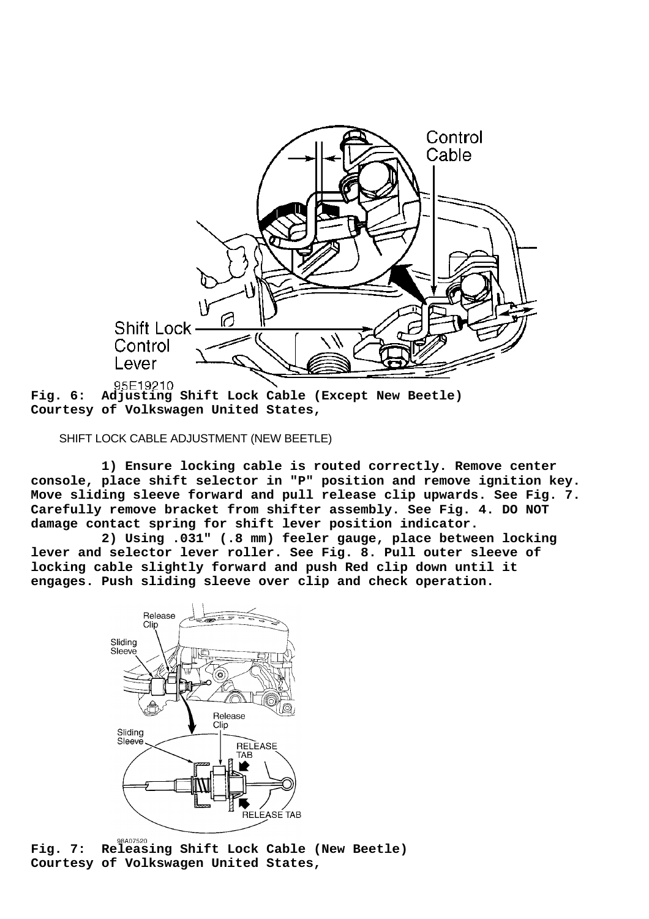

**Fig. 6: Adjusting Shift Lock Cable (Except New Beetle) Courtesy of Volkswagen United States,**

SHIFT LOCK CABLE ADJUSTMENT (NEW BEETLE)

 **1) Ensure locking cable is routed correctly. Remove center console, place shift selector in "P" position and remove ignition key. Move sliding sleeve forward and pull release clip upwards. See Fig. 7. Carefully remove bracket from shifter assembly. See Fig. 4. DO NOT damage contact spring for shift lever position indicator.**

 **2) Using .031" (.8 mm) feeler gauge, place between locking lever and selector lever roller. See Fig. 8. Pull outer sleeve of locking cable slightly forward and push Red clip down until it engages. Push sliding sleeve over clip and check operation.**



**Fig. 7: Releasing Shift Lock Cable (New Beetle) Courtesy of Volkswagen United States,**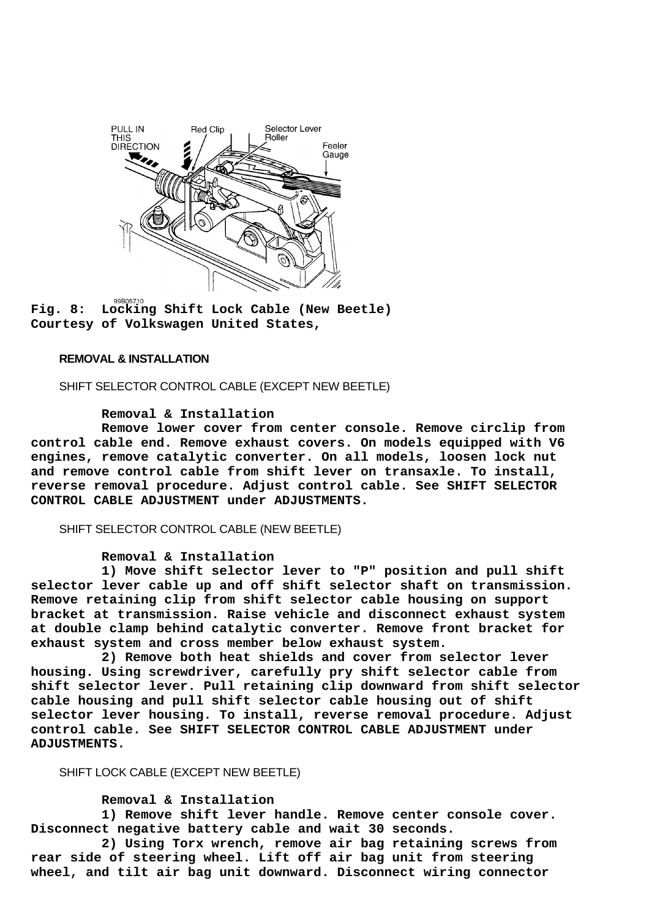

**Fig. 8: Locking Shift Lock Cable (New Beetle) Courtesy of Volkswagen United States,**

#### **REMOVAL & INSTALLATION**

SHIFT SELECTOR CONTROL CABLE (EXCEPT NEW BEETLE)

## **Removal & Installation**

 **Remove lower cover from center console. Remove circlip from control cable end. Remove exhaust covers. On models equipped with V6 engines, remove catalytic converter. On all models, loosen lock nut and remove control cable from shift lever on transaxle. To install, reverse removal procedure. Adjust control cable. See SHIFT SELECTOR CONTROL CABLE ADJUSTMENT under ADJUSTMENTS.**

#### SHIFT SELECTOR CONTROL CABLE (NEW BEETLE)

#### **Removal & Installation**

 **1) Move shift selector lever to "P" position and pull shift selector lever cable up and off shift selector shaft on transmission. Remove retaining clip from shift selector cable housing on support bracket at transmission. Raise vehicle and disconnect exhaust system at double clamp behind catalytic converter. Remove front bracket for exhaust system and cross member below exhaust system.**

 **2) Remove both heat shields and cover from selector lever housing. Using screwdriver, carefully pry shift selector cable from shift selector lever. Pull retaining clip downward from shift selector cable housing and pull shift selector cable housing out of shift selector lever housing. To install, reverse removal procedure. Adjust control cable. See SHIFT SELECTOR CONTROL CABLE ADJUSTMENT under ADJUSTMENTS.**

# SHIFT LOCK CABLE (EXCEPT NEW BEETLE)

#### **Removal & Installation**

 **1) Remove shift lever handle. Remove center console cover. Disconnect negative battery cable and wait 30 seconds.**

 **2) Using Torx wrench, remove air bag retaining screws from rear side of steering wheel. Lift off air bag unit from steering wheel, and tilt air bag unit downward. Disconnect wiring connector**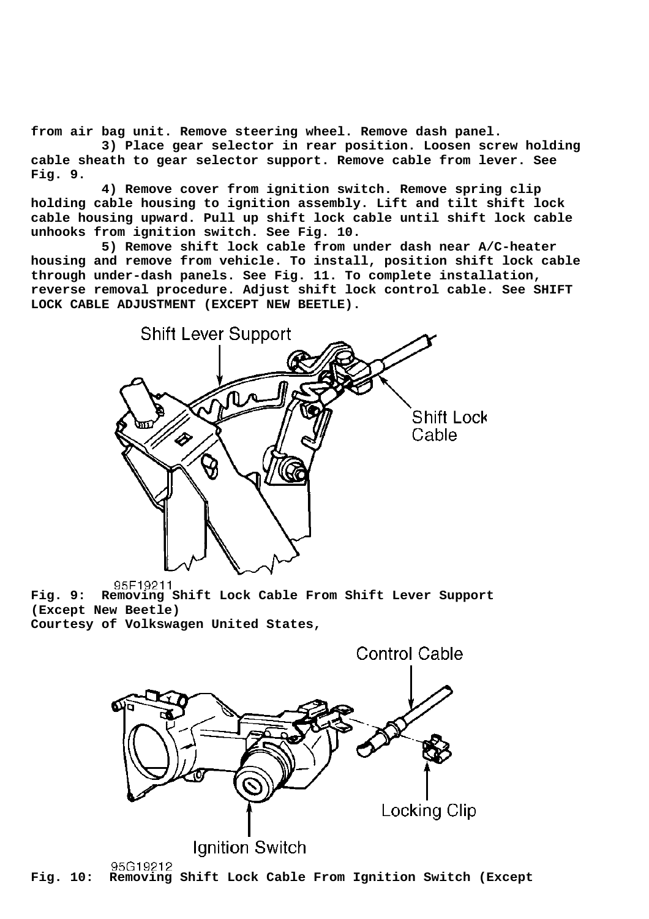**from air bag unit. Remove steering wheel. Remove dash panel.**

 **3) Place gear selector in rear position. Loosen screw holding cable sheath to gear selector support. Remove cable from lever. See Fig. 9.**

 **4) Remove cover from ignition switch. Remove spring clip holding cable housing to ignition assembly. Lift and tilt shift lock cable housing upward. Pull up shift lock cable until shift lock cable unhooks from ignition switch. See Fig. 10.**

 **5) Remove shift lock cable from under dash near A/C-heater housing and remove from vehicle. To install, position shift lock cable through under-dash panels. See Fig. 11. To complete installation, reverse removal procedure. Adjust shift lock control cable. See SHIFT LOCK CABLE ADJUSTMENT (EXCEPT NEW BEETLE).**



**Fig. 9: Removing Shift Lock Cable From Shift Lever Support (Except New Beetle) Courtesy of Volkswagen United States,**



95G19212 **Fig. 10: Removing Shift Lock Cable From Ignition Switch (Except**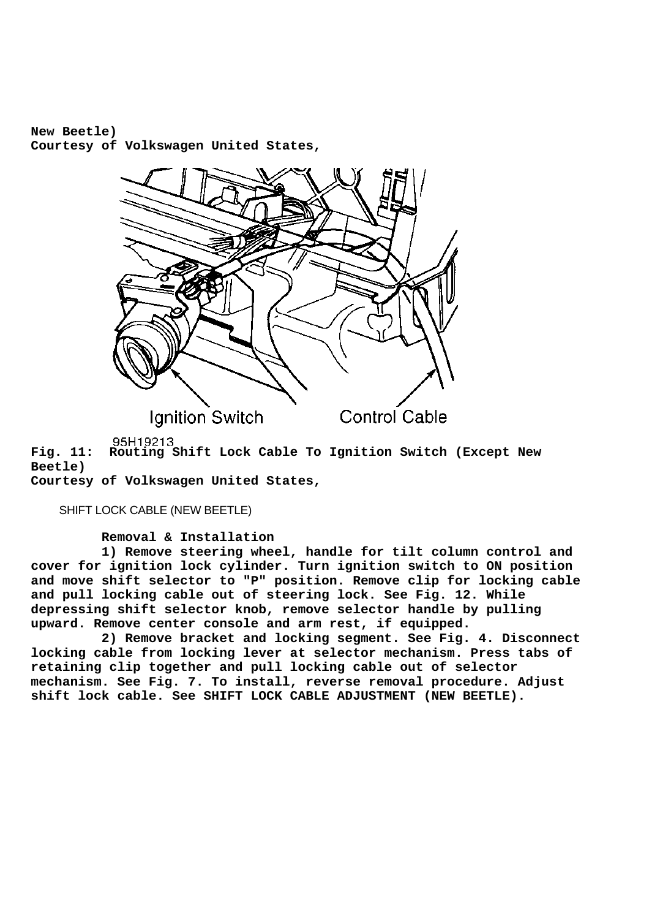**New Beetle) Courtesy of Volkswagen United States,**



95H19213

**Fig. 11: Routing Shift Lock Cable To Ignition Switch (Except New Beetle)**

**Courtesy of Volkswagen United States,**

SHIFT LOCK CABLE (NEW BEETLE)

 **Removal & Installation**

 **1) Remove steering wheel, handle for tilt column control and cover for ignition lock cylinder. Turn ignition switch to ON position and move shift selector to "P" position. Remove clip for locking cable and pull locking cable out of steering lock. See Fig. 12. While depressing shift selector knob, remove selector handle by pulling upward. Remove center console and arm rest, if equipped.**

 **2) Remove bracket and locking segment. See Fig. 4. Disconnect locking cable from locking lever at selector mechanism. Press tabs of retaining clip together and pull locking cable out of selector mechanism. See Fig. 7. To install, reverse removal procedure. Adjust shift lock cable. See SHIFT LOCK CABLE ADJUSTMENT (NEW BEETLE).**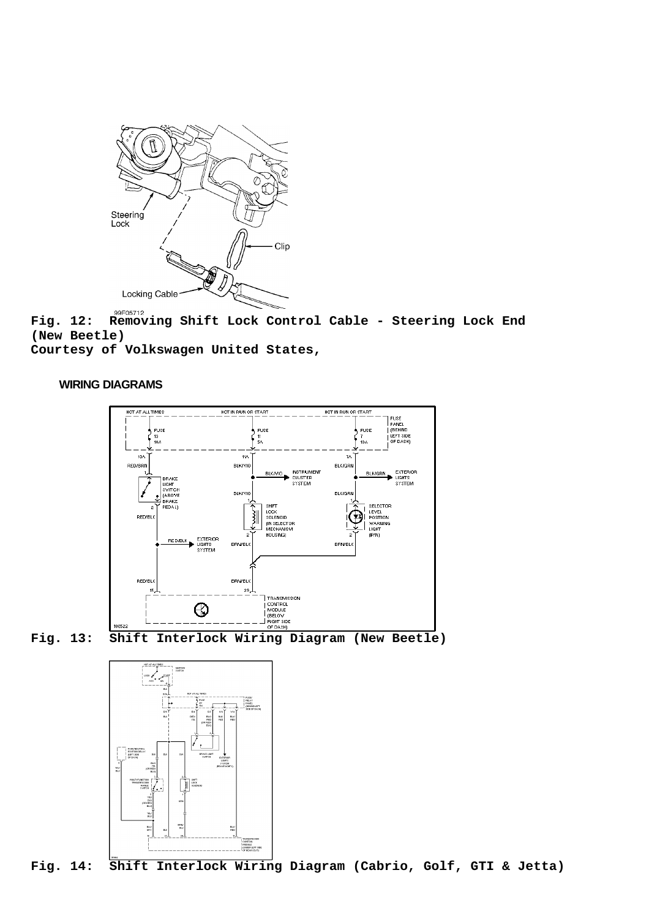

**Fig. 12: Removing Shift Lock Control Cable - Steering Lock End (New Beetle)**

**Courtesy of Volkswagen United States,**

## **WIRING DIAGRAMS**





**Fig. 13: Shift Interlock Wiring Diagram (New Beetle)**



**Fig. 14: Shift Interlock Wiring Diagram (Cabrio, Golf, GTI & Jetta)**